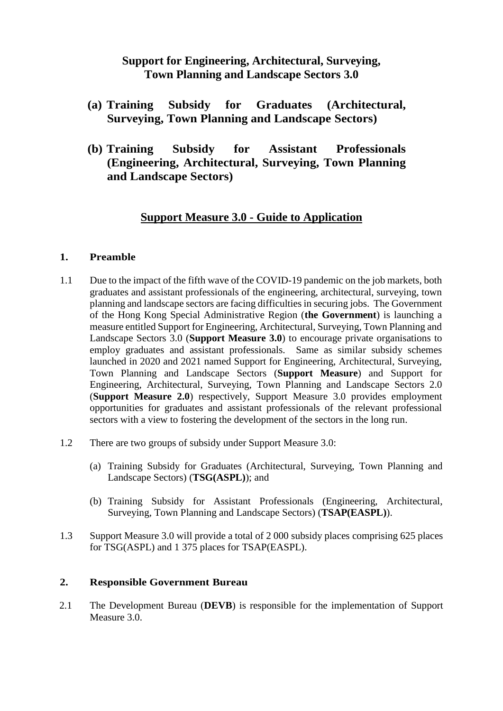# **Support for Engineering, Architectural, Surveying, Town Planning and Landscape Sectors 3.0**

- **(a) Training Subsidy for Graduates (Architectural, Surveying, Town Planning and Landscape Sectors)**
- **(b) Training Subsidy for Assistant Professionals (Engineering, Architectural, Surveying, Town Planning and Landscape Sectors)**

# **Support Measure 3.0 - Guide to Application**

#### **1. Preamble**

- 1.1 Due to the impact of the fifth wave of the COVID-19 pandemic on the job markets, both graduates and assistant professionals of the engineering, architectural, surveying, town planning and landscape sectors are facing difficulties in securing jobs. The Government of the Hong Kong Special Administrative Region (**the Government**) is launching a measure entitled Support for Engineering, Architectural, Surveying, Town Planning and Landscape Sectors 3.0 (**Support Measure 3.0**) to encourage private organisations to employ graduates and assistant professionals. Same as similar subsidy schemes launched in 2020 and 2021 named Support for Engineering, Architectural, Surveying, Town Planning and Landscape Sectors (**Support Measure**) and Support for Engineering, Architectural, Surveying, Town Planning and Landscape Sectors 2.0 (**Support Measure 2.0**) respectively, Support Measure 3.0 provides employment opportunities for graduates and assistant professionals of the relevant professional sectors with a view to fostering the development of the sectors in the long run.
- 1.2 There are two groups of subsidy under Support Measure 3.0:
	- (a) Training Subsidy for Graduates (Architectural, Surveying, Town Planning and Landscape Sectors) (**TSG(ASPL)**); and
	- (b) Training Subsidy for Assistant Professionals (Engineering, Architectural, Surveying, Town Planning and Landscape Sectors) (**TSAP(EASPL)**).
- 1.3 Support Measure 3.0 will provide a total of 2 000 subsidy places comprising 625 places for TSG(ASPL) and 1 375 places for TSAP(EASPL).

#### **2. Responsible Government Bureau**

2.1 The Development Bureau (**DEVB**) is responsible for the implementation of Support Measure 3.0.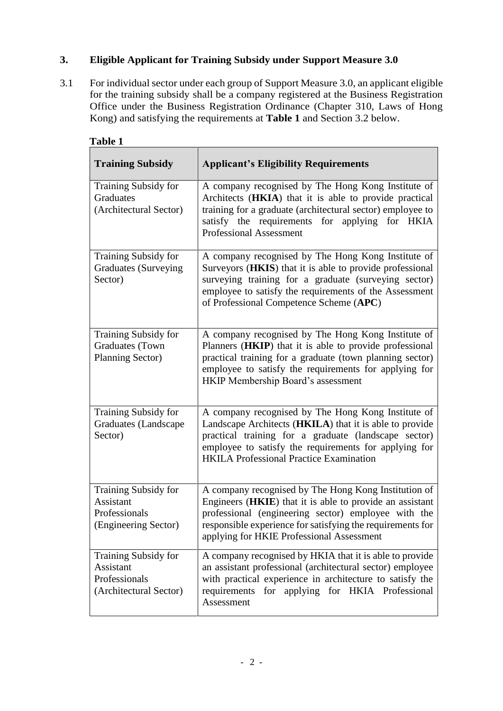### **3. Eligible Applicant for Training Subsidy under Support Measure 3.0**

3.1 For individual sector under each group of Support Measure 3.0, an applicant eligible for the training subsidy shall be a company registered at the Business Registration Office under the Business Registration Ordinance (Chapter 310, Laws of Hong Kong) and satisfying the requirements at **Table 1** and Section 3.2 below.

| <b>Training Subsidy</b>                                                      | <b>Applicant's Eligibility Requirements</b>                                                                                                                                                                                                                                        |
|------------------------------------------------------------------------------|------------------------------------------------------------------------------------------------------------------------------------------------------------------------------------------------------------------------------------------------------------------------------------|
| Training Subsidy for<br><b>Graduates</b><br>(Architectural Sector)           | A company recognised by The Hong Kong Institute of<br>Architects (HKIA) that it is able to provide practical<br>training for a graduate (architectural sector) employee to<br>satisfy the requirements for applying<br>for HKIA<br><b>Professional Assessment</b>                  |
| Training Subsidy for<br><b>Graduates (Surveying</b><br>Sector)               | A company recognised by The Hong Kong Institute of<br>Surveyors (HKIS) that it is able to provide professional<br>surveying training for a graduate (surveying sector)<br>employee to satisfy the requirements of the Assessment<br>of Professional Competence Scheme (APC)        |
| Training Subsidy for<br><b>Graduates</b> (Town<br><b>Planning Sector)</b>    | A company recognised by The Hong Kong Institute of<br>Planners (HKIP) that it is able to provide professional<br>practical training for a graduate (town planning sector)<br>employee to satisfy the requirements for applying for<br>HKIP Membership Board's assessment           |
| Training Subsidy for<br>Graduates (Landscape<br>Sector)                      | A company recognised by The Hong Kong Institute of<br>Landscape Architects (HKILA) that it is able to provide<br>practical training for a graduate (landscape sector)<br>employee to satisfy the requirements for applying for<br><b>HKILA Professional Practice Examination</b>   |
| Training Subsidy for<br>Assistant<br>Professionals<br>(Engineering Sector)   | A company recognised by The Hong Kong Institution of<br>Engineers (HKIE) that it is able to provide an assistant<br>professional (engineering sector) employee with the<br>responsible experience for satisfying the requirements for<br>applying for HKIE Professional Assessment |
| Training Subsidy for<br>Assistant<br>Professionals<br>(Architectural Sector) | A company recognised by HKIA that it is able to provide<br>an assistant professional (architectural sector) employee<br>with practical experience in architecture to satisfy the<br>requirements for applying for HKIA Professional<br>Assessment                                  |

| m<br>Ш<br>н |  |
|-------------|--|
|-------------|--|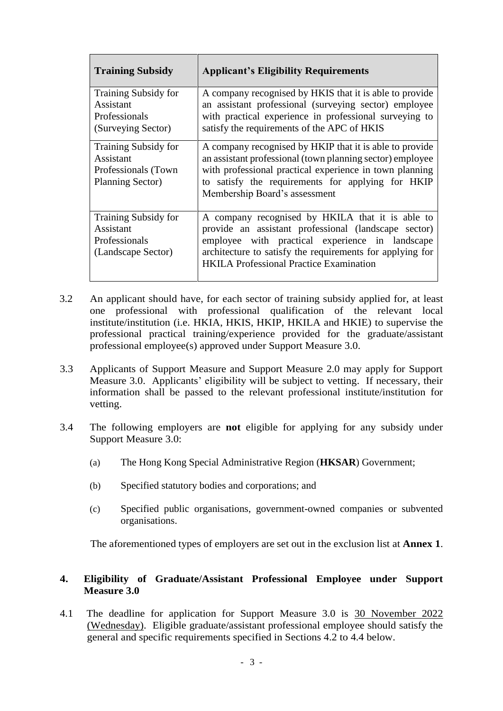| <b>Training Subsidy</b>                                                              | <b>Applicant's Eligibility Requirements</b>                                                                                                                                                                                                                                |
|--------------------------------------------------------------------------------------|----------------------------------------------------------------------------------------------------------------------------------------------------------------------------------------------------------------------------------------------------------------------------|
| Training Subsidy for<br>Assistant<br>Professionals<br>(Surveying Sector)             | A company recognised by HKIS that it is able to provide<br>an assistant professional (surveying sector) employee<br>with practical experience in professional surveying to<br>satisfy the requirements of the APC of HKIS                                                  |
| Training Subsidy for<br>Assistant<br>Professionals (Town)<br><b>Planning Sector)</b> | A company recognised by HKIP that it is able to provide<br>an assistant professional (town planning sector) employee<br>with professional practical experience in town planning<br>to satisfy the requirements for applying for HKIP<br>Membership Board's assessment      |
| <b>Training Subsidy for</b><br>Assistant<br>Professionals<br>(Landscape Sector)      | A company recognised by HKILA that it is able to<br>provide an assistant professional (landscape sector)<br>employee with practical experience in landscape<br>architecture to satisfy the requirements for applying for<br><b>HKILA Professional Practice Examination</b> |

- 3.2 An applicant should have, for each sector of training subsidy applied for, at least one professional with professional qualification of the relevant local institute/institution (i.e. HKIA, HKIS, HKIP, HKILA and HKIE) to supervise the professional practical training/experience provided for the graduate/assistant professional employee(s) approved under Support Measure 3.0.
- 3.3 Applicants of Support Measure and Support Measure 2.0 may apply for Support Measure 3.0. Applicants' eligibility will be subject to vetting. If necessary, their information shall be passed to the relevant professional institute/institution for vetting.
- 3.4 The following employers are **not** eligible for applying for any subsidy under Support Measure 3.0:
	- (a) The Hong Kong Special Administrative Region (**HKSAR**) Government;
	- (b) Specified statutory bodies and corporations; and
	- (c) Specified public organisations, government-owned companies or subvented organisations.

The aforementioned types of employers are set out in the exclusion list at **Annex 1**.

#### **4. Eligibility of Graduate/Assistant Professional Employee under Support Measure 3.0**

4.1 The deadline for application for Support Measure 3.0 is 30 November 2022 (Wednesday). Eligible graduate/assistant professional employee should satisfy the general and specific requirements specified in Sections 4.2 to 4.4 below.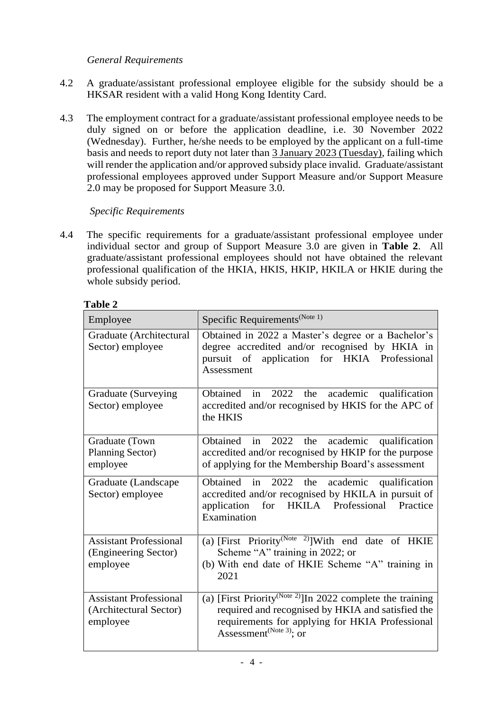### *General Requirements*

- 4.2 A graduate/assistant professional employee eligible for the subsidy should be a HKSAR resident with a valid Hong Kong Identity Card.
- 4.3 The employment contract for a graduate/assistant professional employee needs to be duly signed on or before the application deadline, i.e. 30 November 2022 (Wednesday). Further, he/she needs to be employed by the applicant on a full-time basis and needs to report duty not later than 3 January 2023 (Tuesday), failing which will render the application and/or approved subsidy place invalid. Graduate/assistant professional employees approved under Support Measure and/or Support Measure 2.0 may be proposed for Support Measure 3.0.

### *Specific Requirements*

4.4 The specific requirements for a graduate/assistant professional employee under individual sector and group of Support Measure 3.0 are given in **Table 2**. All graduate/assistant professional employees should not have obtained the relevant professional qualification of the HKIA, HKIS, HKIP, HKILA or HKIE during the whole subsidy period.

| Employee                                                            | Specific Requirements <sup>(Note 1)</sup>                                                                                                                                                                             |
|---------------------------------------------------------------------|-----------------------------------------------------------------------------------------------------------------------------------------------------------------------------------------------------------------------|
| Graduate (Architectural<br>Sector) employee                         | Obtained in 2022 a Master's degree or a Bachelor's<br>degree accredited and/or recognised by HKIA in<br>pursuit of application for HKIA Professional<br>Assessment                                                    |
| Graduate (Surveying<br>Sector) employee                             | Obtained in 2022 the academic<br>qualification<br>accredited and/or recognised by HKIS for the APC of<br>the HKIS                                                                                                     |
| Graduate (Town<br><b>Planning Sector)</b><br>employee               | Obtained in 2022 the<br>academic qualification<br>accredited and/or recognised by HKIP for the purpose<br>of applying for the Membership Board's assessment                                                           |
| Graduate (Landscape<br>Sector) employee                             | in $2022$ the<br>Obtained<br>academic<br>qualification<br>accredited and/or recognised by HKILA in pursuit of<br>for HKILA Professional Practice<br>application<br>Examination                                        |
| <b>Assistant Professional</b><br>(Engineering Sector)<br>employee   | (a) [First Priority <sup>(Note 2)</sup> ] With end date of HKIE<br>Scheme "A" training in 2022; or<br>(b) With end date of HKIE Scheme "A" training in<br>2021                                                        |
| <b>Assistant Professional</b><br>(Architectural Sector)<br>employee | (a) [First Priority <sup>(Note 2)</sup> ]In 2022 complete the training<br>required and recognised by HKIA and satisfied the<br>requirements for applying for HKIA Professional<br>Assessment <sup>(Note 3)</sup> ; or |

### **Table 2**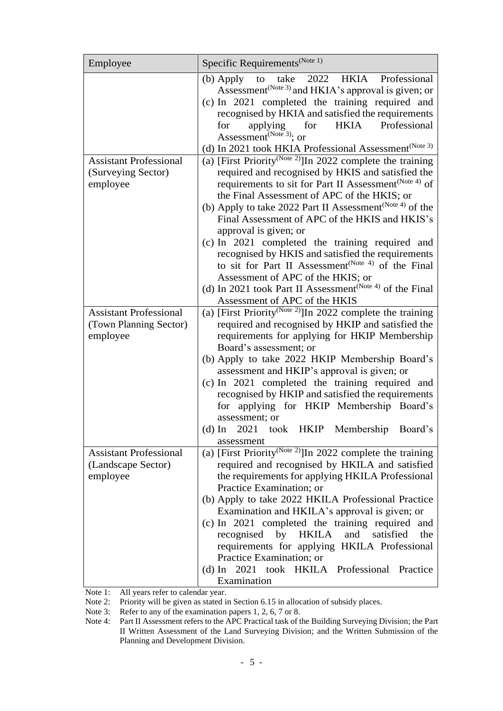| Employee                                                            | Specific Requirements <sup>(Note 1)</sup>                                                                                                                                                                                                                                                                                                                                                                                                                                                                                                                                    |
|---------------------------------------------------------------------|------------------------------------------------------------------------------------------------------------------------------------------------------------------------------------------------------------------------------------------------------------------------------------------------------------------------------------------------------------------------------------------------------------------------------------------------------------------------------------------------------------------------------------------------------------------------------|
|                                                                     | to take 2022 HKIA Professional<br>(b) Apply<br>Assessment <sup>(Note 3)</sup> and HKIA's approval is given; or<br>(c) In 2021 completed the training required and<br>recognised by HKIA and satisfied the requirements<br>HKIA Professional<br>for<br>applying for<br>Assessment <sup>(Note 3)</sup> ; or<br>(d) In 2021 took HKIA Professional Assessment <sup>(Note 3)</sup>                                                                                                                                                                                               |
| <b>Assistant Professional</b><br>(Surveying Sector)<br>employee     | (a) [First Priority <sup>(Note 2)</sup> ]In 2022 complete the training<br>required and recognised by HKIS and satisfied the<br>requirements to sit for Part II Assessment <sup>(Note 4)</sup> of<br>the Final Assessment of APC of the HKIS; or<br>(b) Apply to take 2022 Part II Assessment <sup>(Note 4)</sup> of the<br>Final Assessment of APC of the HKIS and HKIS's<br>approval is given; or<br>(c) In 2021 completed the training required and<br>recognised by HKIS and satisfied the requirements<br>to sit for Part II Assessment <sup>(Note 4)</sup> of the Final |
|                                                                     | Assessment of APC of the HKIS; or<br>(d) In 2021 took Part II Assessment <sup>(Note 4)</sup> of the Final<br>Assessment of APC of the HKIS                                                                                                                                                                                                                                                                                                                                                                                                                                   |
| <b>Assistant Professional</b><br>(Town Planning Sector)<br>employee | (a) [First Priority <sup>(Note 2)</sup> ]In 2022 complete the training<br>required and recognised by HKIP and satisfied the<br>requirements for applying for HKIP Membership<br>Board's assessment; or<br>(b) Apply to take 2022 HKIP Membership Board's<br>assessment and HKIP's approval is given; or<br>(c) In 2021 completed the training required and<br>recognised by HKIP and satisfied the requirements<br>for applying for HKIP Membership Board's<br>assessment; or<br>(d) In 2021 took HKIP Membership Board's<br>assessment                                      |
| <b>Assistant Professional</b><br>(Landscape Sector)<br>employee     | (a) [First Priority <sup>(Note 2)</sup> ]In 2022 complete the training<br>required and recognised by HKILA and satisfied<br>the requirements for applying HKILA Professional<br>Practice Examination; or<br>(b) Apply to take 2022 HKILA Professional Practice<br>Examination and HKILA's approval is given; or<br>(c) In 2021 completed the training required and<br>by<br><b>HKILA</b><br>and<br>satisfied<br>recognised<br>the<br>requirements for applying HKILA Professional<br>Practice Examination; or<br>(d) In 2021 took HKILA Professional Practice<br>Examination |

Note 1: All years refer to calendar year.

Note 2: Priority will be given as stated in Section 6.15 in allocation of subsidy places.

Note 3: Refer to any of the examination papers 1, 2, 6, 7 or 8.

Note 4: Part II Assessment refers to the APC Practical task of the Building Surveying Division; the Part II Written Assessment of the Land Surveying Division; and the Written Submission of the Planning and Development Division.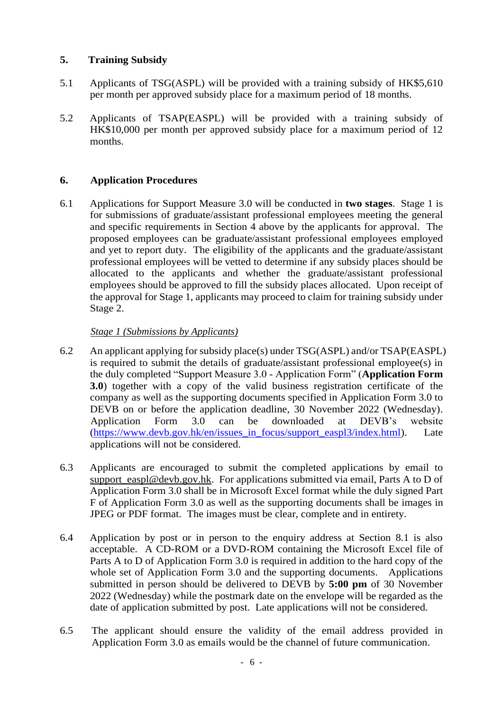### **5. Training Subsidy**

- 5.1 Applicants of TSG(ASPL) will be provided with a training subsidy of HK\$5,610 per month per approved subsidy place for a maximum period of 18 months.
- 5.2 Applicants of TSAP(EASPL) will be provided with a training subsidy of HK\$10,000 per month per approved subsidy place for a maximum period of 12 months.

## **6. Application Procedures**

6.1 Applications for Support Measure 3.0 will be conducted in **two stages**. Stage 1 is for submissions of graduate/assistant professional employees meeting the general and specific requirements in Section 4 above by the applicants for approval. The proposed employees can be graduate/assistant professional employees employed and yet to report duty. The eligibility of the applicants and the graduate/assistant professional employees will be vetted to determine if any subsidy places should be allocated to the applicants and whether the graduate/assistant professional employees should be approved to fill the subsidy places allocated. Upon receipt of the approval for Stage 1, applicants may proceed to claim for training subsidy under Stage 2.

#### *Stage 1 (Submissions by Applicants)*

- 6.2 An applicant applying for subsidy place(s) under TSG(ASPL) and/or TSAP(EASPL) is required to submit the details of graduate/assistant professional employee(s) in the duly completed "Support Measure 3.0 - Application Form" (**Application Form 3.0**) together with a copy of the valid business registration certificate of the company as well as the supporting documents specified in Application Form 3.0 to DEVB on or before the application deadline, 30 November 2022 (Wednesday). Application Form 3.0 can be downloaded at DEVB's website [\(https://www.devb.gov.hk/en/issues\\_in\\_focus/support\\_easpl3/index.html\)](https://www.devb.gov.hk/en/issues_in_focus/support_easpl3/index.html). Late applications will not be considered.
- 6.3 Applicants are encouraged to submit the completed applications by email to [support\\_easpl@devb.gov.hk.](mailto:support_easpl@devb.gov.hk) For applications submitted via email, Parts A to D of Application Form 3.0 shall be in Microsoft Excel format while the duly signed Part F of Application Form 3.0 as well as the supporting documents shall be images in JPEG or PDF format. The images must be clear, complete and in entirety.
- 6.4 Application by post or in person to the enquiry address at Section 8.1 is also acceptable. A CD-ROM or a DVD-ROM containing the Microsoft Excel file of Parts A to D of Application Form 3.0 is required in addition to the hard copy of the whole set of Application Form 3.0 and the supporting documents. Applications submitted in person should be delivered to DEVB by **5:00 pm** of 30 November 2022 (Wednesday) while the postmark date on the envelope will be regarded as the date of application submitted by post. Late applications will not be considered.
- 6.5 The applicant should ensure the validity of the email address provided in Application Form 3.0 as emails would be the channel of future communication.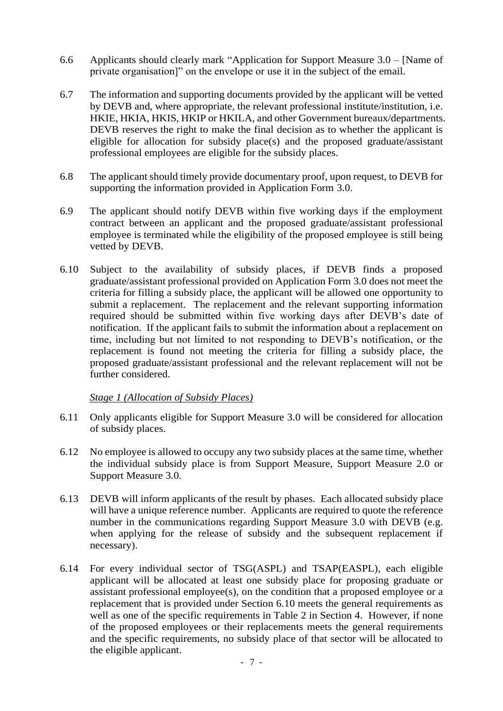- 6.6 Applicants should clearly mark "Application for Support Measure 3.0 [Name of private organisation]" on the envelope or use it in the subject of the email.
- 6.7 The information and supporting documents provided by the applicant will be vetted by DEVB and, where appropriate, the relevant professional institute/institution, i.e. HKIE, HKIA, HKIS, HKIP or HKILA, and other Government bureaux/departments. DEVB reserves the right to make the final decision as to whether the applicant is eligible for allocation for subsidy place(s) and the proposed graduate/assistant professional employees are eligible for the subsidy places.
- 6.8 The applicant should timely provide documentary proof, upon request, to DEVB for supporting the information provided in Application Form 3.0.
- 6.9 The applicant should notify DEVB within five working days if the employment contract between an applicant and the proposed graduate/assistant professional employee is terminated while the eligibility of the proposed employee is still being vetted by DEVB.
- 6.10 Subject to the availability of subsidy places, if DEVB finds a proposed graduate/assistant professional provided on Application Form 3.0 does not meet the criteria for filling a subsidy place, the applicant will be allowed one opportunity to submit a replacement. The replacement and the relevant supporting information required should be submitted within five working days after DEVB's date of notification. If the applicant fails to submit the information about a replacement on time, including but not limited to not responding to DEVB's notification, or the replacement is found not meeting the criteria for filling a subsidy place, the proposed graduate/assistant professional and the relevant replacement will not be further considered.

#### *Stage 1 (Allocation of Subsidy Places)*

- 6.11 Only applicants eligible for Support Measure 3.0 will be considered for allocation of subsidy places.
- 6.12 No employee is allowed to occupy any two subsidy places at the same time, whether the individual subsidy place is from Support Measure, Support Measure 2.0 or Support Measure 3.0.
- 6.13 DEVB will inform applicants of the result by phases. Each allocated subsidy place will have a unique reference number. Applicants are required to quote the reference number in the communications regarding Support Measure 3.0 with DEVB (e.g. when applying for the release of subsidy and the subsequent replacement if necessary).
- 6.14 For every individual sector of TSG(ASPL) and TSAP(EASPL), each eligible applicant will be allocated at least one subsidy place for proposing graduate or assistant professional employee(s), on the condition that a proposed employee or a replacement that is provided under Section 6.10 meets the general requirements as well as one of the specific requirements in Table 2 in Section 4. However, if none of the proposed employees or their replacements meets the general requirements and the specific requirements, no subsidy place of that sector will be allocated to the eligible applicant.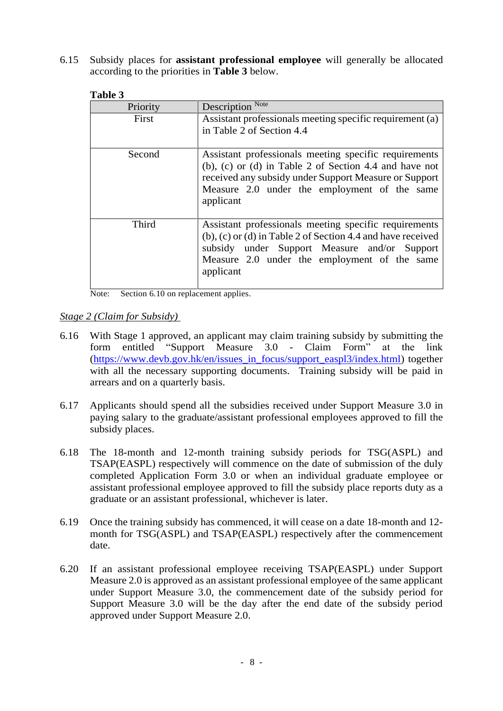6.15 Subsidy places for **assistant professional employee** will generally be allocated according to the priorities in **Table 3** below.

| таріе э  |                                                                                                                                                                                                                                          |
|----------|------------------------------------------------------------------------------------------------------------------------------------------------------------------------------------------------------------------------------------------|
| Priority | Description Note                                                                                                                                                                                                                         |
| First    | Assistant professionals meeting specific requirement (a)<br>in Table 2 of Section 4.4                                                                                                                                                    |
| Second   | Assistant professionals meeting specific requirements<br>(b), (c) or (d) in Table 2 of Section 4.4 and have not<br>received any subsidy under Support Measure or Support<br>Measure 2.0 under the employment of the same<br>applicant    |
| Third    | Assistant professionals meeting specific requirements<br>$(b)$ , $(c)$ or $(d)$ in Table 2 of Section 4.4 and have received<br>subsidy under Support Measure and/or Support<br>Measure 2.0 under the employment of the same<br>applicant |

#### **Table 3**

Note: Section 6.10 on replacement applies.

*Stage 2 (Claim for Subsidy)* 

- 6.16 With Stage 1 approved, an applicant may claim training subsidy by submitting the form entitled "Support Measure 3.0 - Claim Form" at the link [\(https://www.devb.gov.hk/en/issues\\_in\\_focus/support\\_easpl3/index.html\)](https://www.devb.gov.hk/en/issues_in_focus/support_easpl3/index.html) together with all the necessary supporting documents. Training subsidy will be paid in arrears and on a quarterly basis.
- 6.17 Applicants should spend all the subsidies received under Support Measure 3.0 in paying salary to the graduate/assistant professional employees approved to fill the subsidy places.
- 6.18 The 18-month and 12-month training subsidy periods for TSG(ASPL) and TSAP(EASPL) respectively will commence on the date of submission of the duly completed Application Form 3.0 or when an individual graduate employee or assistant professional employee approved to fill the subsidy place reports duty as a graduate or an assistant professional, whichever is later.
- 6.19 Once the training subsidy has commenced, it will cease on a date 18-month and 12 month for TSG(ASPL) and TSAP(EASPL) respectively after the commencement date.
- 6.20 If an assistant professional employee receiving TSAP(EASPL) under Support Measure 2.0 is approved as an assistant professional employee of the same applicant under Support Measure 3.0, the commencement date of the subsidy period for Support Measure 3.0 will be the day after the end date of the subsidy period approved under Support Measure 2.0.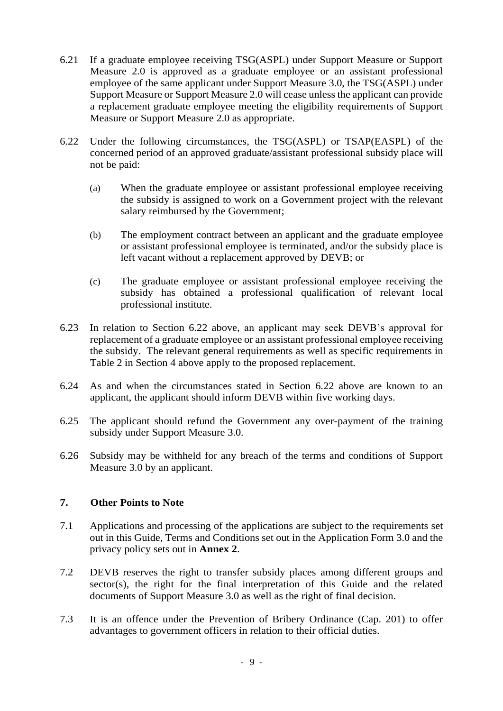- 6.21 If a graduate employee receiving TSG(ASPL) under Support Measure or Support Measure 2.0 is approved as a graduate employee or an assistant professional employee of the same applicant under Support Measure 3.0, the TSG(ASPL) under Support Measure or Support Measure 2.0 will cease unless the applicant can provide a replacement graduate employee meeting the eligibility requirements of Support Measure or Support Measure 2.0 as appropriate.
- 6.22 Under the following circumstances, the TSG(ASPL) or TSAP(EASPL) of the concerned period of an approved graduate/assistant professional subsidy place will not be paid:
	- (a) When the graduate employee or assistant professional employee receiving the subsidy is assigned to work on a Government project with the relevant salary reimbursed by the Government;
	- (b) The employment contract between an applicant and the graduate employee or assistant professional employee is terminated, and/or the subsidy place is left vacant without a replacement approved by DEVB; or
	- (c) The graduate employee or assistant professional employee receiving the subsidy has obtained a professional qualification of relevant local professional institute.
- 6.23 In relation to Section 6.22 above, an applicant may seek DEVB's approval for replacement of a graduate employee or an assistant professional employee receiving the subsidy. The relevant general requirements as well as specific requirements in Table 2 in Section 4 above apply to the proposed replacement.
- 6.24 As and when the circumstances stated in Section 6.22 above are known to an applicant, the applicant should inform DEVB within five working days.
- 6.25 The applicant should refund the Government any over-payment of the training subsidy under Support Measure 3.0.
- 6.26 Subsidy may be withheld for any breach of the terms and conditions of Support Measure 3.0 by an applicant.

### **7. Other Points to Note**

- 7.1 Applications and processing of the applications are subject to the requirements set out in this Guide, Terms and Conditions set out in the Application Form 3.0 and the privacy policy sets out in **Annex 2**.
- 7.2 DEVB reserves the right to transfer subsidy places among different groups and sector(s), the right for the final interpretation of this Guide and the related documents of Support Measure 3.0 as well as the right of final decision.
- 7.3 It is an offence under the Prevention of Bribery Ordinance (Cap. 201) to offer advantages to government officers in relation to their official duties.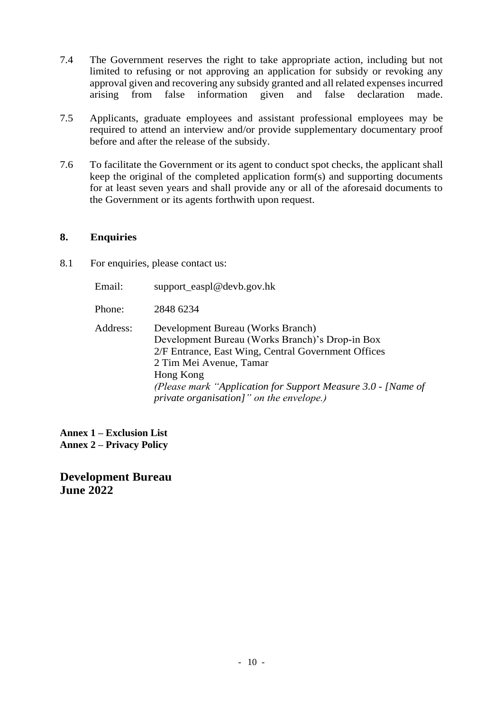- 7.4 The Government reserves the right to take appropriate action, including but not limited to refusing or not approving an application for subsidy or revoking any approval given and recovering any subsidy granted and all related expensesincurred arising from false information given and false declaration made.
- 7.5 Applicants, graduate employees and assistant professional employees may be required to attend an interview and/or provide supplementary documentary proof before and after the release of the subsidy.
- 7.6 To facilitate the Government or its agent to conduct spot checks, the applicant shall keep the original of the completed application form(s) and supporting documents for at least seven years and shall provide any or all of the aforesaid documents to the Government or its agents forthwith upon request.

#### **8. Enquiries**

8.1 For enquiries, please contact us:

Email: [support\\_easpl@devb.gov.hk](mailto:support_easpl@devb.gov.hk)

Phone: 2848 6234

Address: Development Bureau (Works Branch) Development Bureau (Works Branch)'s Drop-in Box 2/F Entrance, East Wing, Central Government Offices 2 Tim Mei Avenue, Tamar Hong Kong *(Please mark "Application for Support Measure 3.0 - [Name of private organisation]" on the envelope.)*

**Annex 1 – Exclusion List Annex 2 – Privacy Policy**

**Development Bureau June 2022**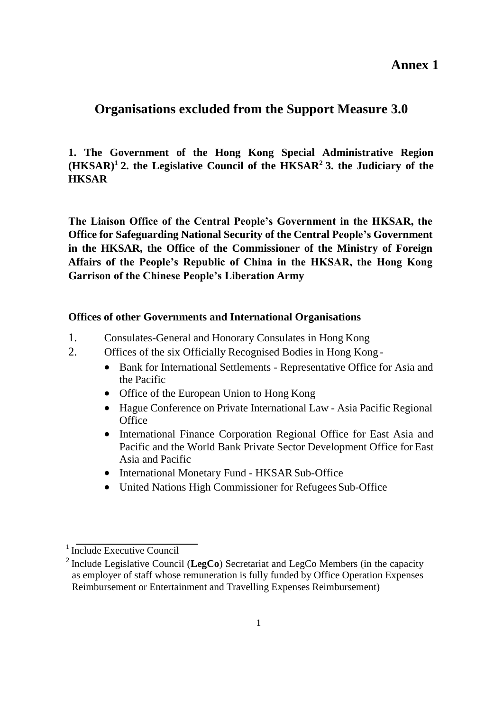**Annex 1**

# **Organisations excluded from the Support Measure 3.0**

# **1. The Government of the Hong Kong Special Administrative Region**   $(HKSAR)^1$ <sup>2</sup>. the Legislative Council of the  $HKSAR^2$ <sup>2</sup> 3. the Judiciary of the **HKSAR**

**The Liaison Office of the Central People's Government in the HKSAR, the Office for Safeguarding National Security of the Central People's Government in the HKSAR, the Office of the Commissioner of the Ministry of Foreign Affairs of the People's Republic of China in the HKSAR, the Hong Kong Garrison of the Chinese People's Liberation Army**

#### **Offices of other Governments and International Organisations**

- 1. Consulates-General and Honorary Consulates in Hong Kong
- 2. Offices of the six Officially Recognised Bodies in Hong Kong
	- Bank for International Settlements Representative Office for Asia and the Pacific
	- Office of the European Union to Hong Kong
	- Hague Conference on Private International Law Asia Pacific Regional **Office**
	- International Finance Corporation Regional Office for East Asia and Pacific and the World Bank Private Sector Development Office for East Asia and Pacific
	- International Monetary Fund HKSAR Sub-Office
	- United Nations High Commissioner for Refugees Sub-Office

 $<sup>1</sup>$  Include Executive Council</sup>

<sup>2</sup>Include Legislative Council (**LegCo**) Secretariat and LegCo Members (in the capacity as employer of staff whose remuneration is fully funded by Office Operation Expenses Reimbursement or Entertainment and Travelling Expenses Reimbursement)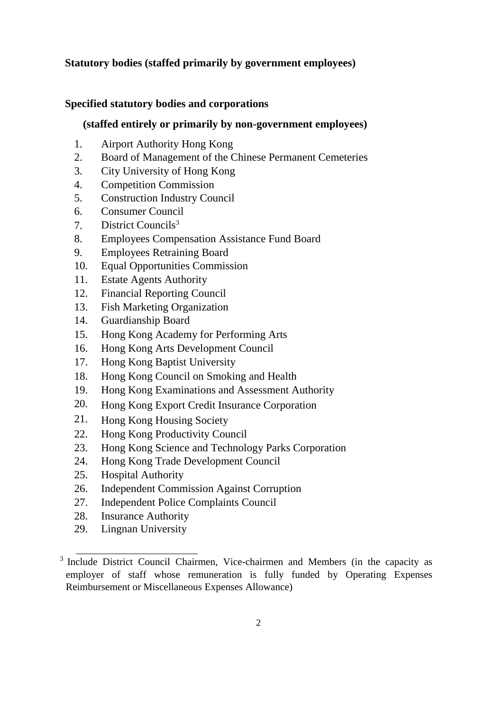## **Statutory bodies (staffed primarily by government employees)**

### **Specified statutory bodies and corporations**

#### **(staffed entirely or primarily by non-government employees)**

- 1. Airport Authority Hong Kong
- 2. Board of Management of the Chinese Permanent Cemeteries
- 3. City University of Hong Kong
- 4. Competition Commission
- 5. Construction Industry Council
- 6. Consumer Council
- 7. District Councils<sup>3</sup>
- 8. Employees Compensation Assistance Fund Board
- 9. Employees Retraining Board
- 10. Equal Opportunities Commission
- 11. Estate Agents Authority
- 12. Financial Reporting Council
- 13. Fish Marketing Organization
- 14. Guardianship Board
- 15. Hong Kong Academy for Performing Arts
- 16. Hong Kong Arts Development Council
- 17. Hong Kong Baptist University
- 18. Hong Kong Council on Smoking and Health
- 19. Hong Kong Examinations and Assessment Authority
- 20. Hong Kong Export Credit Insurance Corporation
- 21. Hong Kong Housing Society
- 22. Hong Kong Productivity Council
- 23. Hong Kong Science and Technology Parks Corporation
- 24. Hong Kong Trade Development Council
- 25. Hospital Authority
- 26. Independent Commission Against Corruption
- 27. Independent Police Complaints Council
- 28. Insurance Authority
- 29. Lingnan University

<sup>&</sup>lt;sup>3</sup> Include District Council Chairmen, Vice-chairmen and Members (in the capacity as employer of staff whose remuneration is fully funded by Operating Expenses Reimbursement or Miscellaneous Expenses Allowance)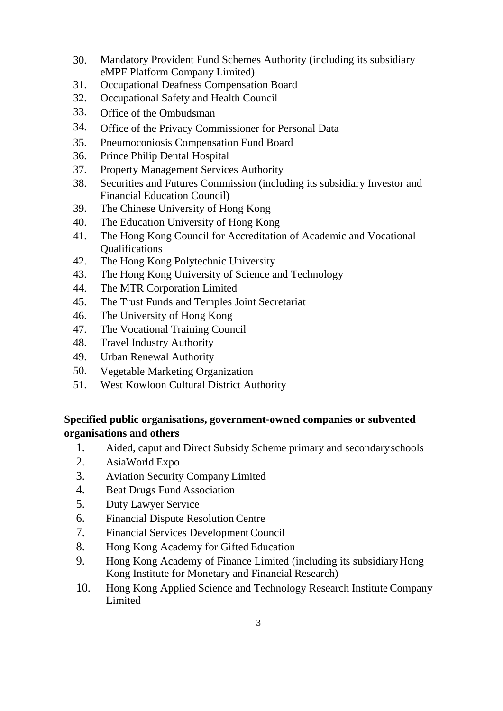- 30. Mandatory Provident Fund Schemes Authority (including its subsidiary eMPF Platform Company Limited)
- 31. Occupational Deafness Compensation Board
- 32. Occupational Safety and Health Council
- 33. Office of the Ombudsman
- 34. Office of the Privacy Commissioner for Personal Data
- 35. Pneumoconiosis Compensation Fund Board
- 36. Prince Philip Dental Hospital
- 37. Property Management Services Authority
- 38. Securities and Futures Commission (including its subsidiary Investor and Financial Education Council)
- 39. The Chinese University of Hong Kong
- 40. The Education University of Hong Kong
- 41. The Hong Kong Council for Accreditation of Academic and Vocational Qualifications
- 42. The Hong Kong Polytechnic University
- 43. The Hong Kong University of Science and Technology
- 44. The MTR Corporation Limited
- 45. The Trust Funds and Temples Joint Secretariat
- 46. The University of Hong Kong
- 47. The Vocational Training Council
- 48. Travel Industry Authority
- 49. Urban Renewal Authority
- 50. Vegetable Marketing Organization
- 51. West Kowloon Cultural District Authority

# **Specified public organisations, government-owned companies or subvented organisations and others**

- 1. Aided, caput and Direct Subsidy Scheme primary and secondaryschools
- 2. AsiaWorld Expo
- 3. Aviation Security Company Limited
- 4. Beat Drugs Fund Association
- 5. Duty Lawyer Service
- 6. Financial Dispute Resolution Centre
- 7. Financial Services DevelopmentCouncil
- 8. Hong Kong Academy for Gifted Education
- 9. Hong Kong Academy of Finance Limited (including its subsidiaryHong Kong Institute for Monetary and Financial Research)
- 10. Hong Kong Applied Science and Technology Research Institute Company Limited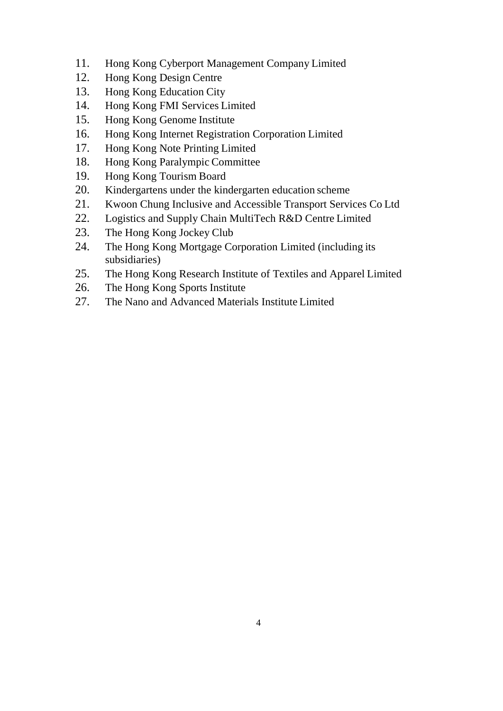- 11. Hong Kong Cyberport Management Company Limited
- 12. Hong Kong Design Centre
- 13. Hong Kong Education City
- 14. Hong Kong FMI Services Limited
- 15. Hong Kong Genome Institute
- 16. Hong Kong Internet Registration Corporation Limited
- 17. Hong Kong Note Printing Limited
- 18. Hong Kong Paralympic Committee
- 19. Hong Kong Tourism Board
- 20. Kindergartens under the kindergarten education scheme
- 21. Kwoon Chung Inclusive and Accessible Transport Services Co Ltd
- 22. Logistics and Supply Chain MultiTech R&D Centre Limited
- 23. The Hong Kong Jockey Club
- 24. The Hong Kong Mortgage Corporation Limited (including its subsidiaries)
- 25. The Hong Kong Research Institute of Textiles and Apparel Limited
- 26. The Hong Kong Sports Institute
- 27. The Nano and Advanced Materials Institute Limited